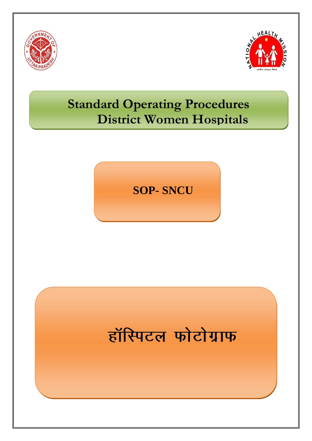

 $\parallel$ 



## **Standard Operating Procedures District Women Hospitals**

**Etawah**



# हॉस्पिटल फोटोग्राफ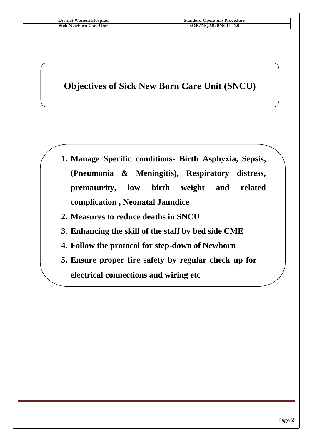| District Women Hospital | <b>Standard Operating Procedure</b> |
|-------------------------|-------------------------------------|
| Sick Newborn Care Unit  | SOP/NQAS/SNCU - 1.0                 |

### **Objectives of Sick New Born Care Unit (SNCU)**

- **1. Manage Specific conditions- Birth Asphyxia, Sepsis, (Pneumonia & Meningitis), Respiratory distress, prematurity, low birth weight and related complication , Neonatal Jaundice**
- **2. Measures to reduce deaths in SNCU**
- **3. Enhancing the skill of the staff by bed side CME**
- **4. Follow the protocol for step-down of Newborn**
- **5. Ensure proper fire safety by regular check up for electrical connections and wiring etc**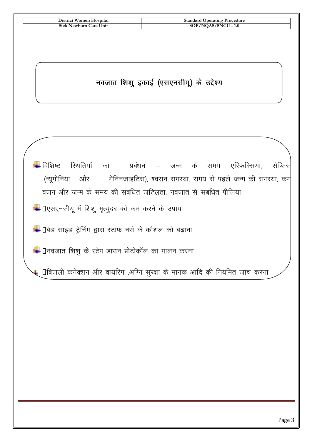| District Women Hospital<br>Sick Newborn Care Unit        | <b>Standard Operating Procedure</b><br>SOP/NQAS/SNCU - 1.0               |
|----------------------------------------------------------|--------------------------------------------------------------------------|
|                                                          |                                                                          |
|                                                          |                                                                          |
|                                                          | नवजात शिशु इकाई (एसएनसीयू) के उद्देश्य                                   |
|                                                          |                                                                          |
|                                                          |                                                                          |
|                                                          |                                                                          |
| $\overline{\phantom{a}}$ विशिष्ट                         | रिथतियों का   प्रबंधन – जन्म के समय<br>एस्फिक्सिया,<br>सेप्सिस           |
| ,(न्यूमोनिया और                                          | मेनिनजाइटिस), श्वसन समस्या, समय से पहले जन्म की समस्या, कम               |
|                                                          | वजन और जन्म के समय की संबंधित जटिलता, नवजात से संबंधित पीलिया            |
| → □एसएनसीयू में शिशु मृत्युदर को कम करने के उपाय         |                                                                          |
| → □बेड साइड ट्रेनिंग द्वारा स्टाफ नर्स के कौशल को बढ़ाना |                                                                          |
| → □नवजात शिशु के स्टेप डाउन प्रोटोकॉल का पालन करना       |                                                                          |
|                                                          | □ बिजली कनेक्शन और वायरिंग,अग्नि सुरक्षा के मानक आदि की नियमित जांच करना |
|                                                          |                                                                          |
|                                                          |                                                                          |
|                                                          |                                                                          |
|                                                          |                                                                          |
|                                                          |                                                                          |
|                                                          |                                                                          |
|                                                          |                                                                          |
|                                                          |                                                                          |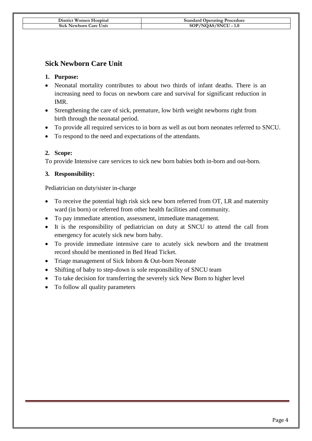#### **Sick Newborn Care Unit**

#### **1. Purpose:**

- Neonatal mortality contributes to about two thirds of infant deaths. There is an increasing need to focus on newborn care and survival for significant reduction in IMR.
- Strengthening the care of sick, premature, low birth weight newborns right from birth through the neonatal period.
- To provide all required services to in born as well as out born neonates referred to SNCU.
- To respond to the need and expectations of the attendants.

#### **2. Scope:**

To provide Intensive care services to sick new born babies both in-born and out-born.

#### **3. Responsibility:**

Pediatrician on duty/sister in-charge

- To receive the potential high risk sick new born referred from OT, LR and maternity ward (in born) or referred from other health facilities and community.
- To pay immediate attention, assessment, immediate management.
- It is the responsibility of pediatrician on duty at SNCU to attend the call from emergency for acutely sick new born baby.
- To provide immediate intensive care to acutely sick newborn and the treatment record should be mentioned in Bed Head Ticket.
- Triage management of Sick Inborn & Out-born Neonate
- Shifting of baby to step-down is sole responsibility of SNCU team
- To take decision for transferring the severely sick New Born to higher level
- To follow all quality parameters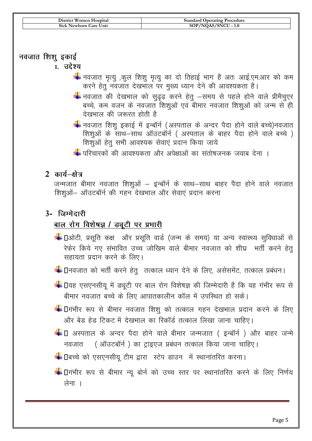| SOP/NQAS/SNCU - 1.0<br><b>Sick Newborn Care Unit</b><br>1. उद्देश्य<br>→ नवजात मृत्यु ,कुल शिशु मृत्यु का दो तिहाई भाग है अतः आई.एम.आर को कम<br>करने हेतु नवजात देखभाल पर मुख्य ध्यान देने की आवश्यकता है।<br>→ नवजात की देखभाल को सुढ़ढ़ करने हेतु —समय से पहले होने वाले प्रीमैचुएर<br>बच्चे, कम वजन के नवजात शिशुओं एवं बीमार नवजात शिशुओं को जन्म से ही<br>देखभाल की जरूरत होती है<br><mark>→</mark> नवजात शिशु इकाई में इन्बॉर्न (अस्पताल के अन्दर पैदा होने वाले बच्चे)नवजात<br>शिशुओं के साथ–साथ ऑउटबॉर्न (अस्पताल के बाहर पैदा होने वाले बच्चे )<br>शिशुओं हेतु सभी आवश्यक सेवाएं प्रदान किया जाये<br>■ परिचारकों की आवश्यकता और अपेक्षाओं का संतोषजनक जवाब देना ।<br>$2$ कार्य—क्षेत्र<br>जन्मजात बीमार नवजात शिशुओं – इन्बॉर्न के साथ–साथ बाहर पैदा होने वाले नवजात<br>शिशुओं— ऑउटबॉर्न की गहन देखभाल और सेवाएं प्रदान करना<br>3- जिम्मेदारी<br>बाल रोग विशेषज्ञ / ड्यूटी पर प्रभारी<br><mark>=</mark> □ओटी, प्रसूति कक्ष- और प्रसूति वार्ड (जन्म के समय) या अन्य स्वास्थ्य सुविधाओं से<br>रेफेर किये गए संभावित उच्च जोखिम वाले बीमार नवजात को शीघ्र भर्ती करने हेतु<br>सहायता प्रदान करने के लिए।<br>→ □नवजात को भर्ती करने हेतु) तत्काल ध्यान देने के लिए, असेसमेंट, तत्काल प्रबंधन।<br>→ □यह एसएनसीयू में ड्यूटी पर बाल रोग विशेषज्ञ की जिम्मेदारी है कि वह गंभीर रूप से<br>बीमार नवजात बच्चे के लिए आपातकालीन कॉल में उपस्थित हो सके।<br>— ⊔गंभीर रूप से बीमार नवजात शिशु को तत्काल गहन देखभाल प्रदान करने के लिए<br>और बेड हेड टिकट में देखभाल का रिकॉर्ड तत्काल लिखा जाना चाहिए।<br>— ∐ अस्पताल के अन्दर पैदा होने वाले बीमार जन्मजात ( इन्बॉर्न ) और बाहर जन्मे<br>( ऑउटबॉर्न ) का ट्राइएज प्रबंधन तत्काल किया जाना चाहिए।<br>नवजात<br>→ □बच्चे को एसएनसीयू टीम द्वारा) स्टेप डाउन) में स्थानांतरित करना।<br>— ⊔गंभीर रूप से बीमार न्यू बोर्न को उच्च स्तर पर स्थानांतरित करने के लिए निर्णय<br>लेना । | District women Hospital | standard Operating Procedure |
|--------------------------------------------------------------------------------------------------------------------------------------------------------------------------------------------------------------------------------------------------------------------------------------------------------------------------------------------------------------------------------------------------------------------------------------------------------------------------------------------------------------------------------------------------------------------------------------------------------------------------------------------------------------------------------------------------------------------------------------------------------------------------------------------------------------------------------------------------------------------------------------------------------------------------------------------------------------------------------------------------------------------------------------------------------------------------------------------------------------------------------------------------------------------------------------------------------------------------------------------------------------------------------------------------------------------------------------------------------------------------------------------------------------------------------------------------------------------------------------------------------------------------------------------------------------------------------------------------------------------------------------------------------------------------------------------------------------------------------------------------------------------------------------------------------------------------|-------------------------|------------------------------|
|                                                                                                                                                                                                                                                                                                                                                                                                                                                                                                                                                                                                                                                                                                                                                                                                                                                                                                                                                                                                                                                                                                                                                                                                                                                                                                                                                                                                                                                                                                                                                                                                                                                                                                                                                                                                                          |                         |                              |
|                                                                                                                                                                                                                                                                                                                                                                                                                                                                                                                                                                                                                                                                                                                                                                                                                                                                                                                                                                                                                                                                                                                                                                                                                                                                                                                                                                                                                                                                                                                                                                                                                                                                                                                                                                                                                          |                         |                              |
|                                                                                                                                                                                                                                                                                                                                                                                                                                                                                                                                                                                                                                                                                                                                                                                                                                                                                                                                                                                                                                                                                                                                                                                                                                                                                                                                                                                                                                                                                                                                                                                                                                                                                                                                                                                                                          | नवजात शिशु इकाई         |                              |
|                                                                                                                                                                                                                                                                                                                                                                                                                                                                                                                                                                                                                                                                                                                                                                                                                                                                                                                                                                                                                                                                                                                                                                                                                                                                                                                                                                                                                                                                                                                                                                                                                                                                                                                                                                                                                          |                         |                              |
|                                                                                                                                                                                                                                                                                                                                                                                                                                                                                                                                                                                                                                                                                                                                                                                                                                                                                                                                                                                                                                                                                                                                                                                                                                                                                                                                                                                                                                                                                                                                                                                                                                                                                                                                                                                                                          |                         |                              |
|                                                                                                                                                                                                                                                                                                                                                                                                                                                                                                                                                                                                                                                                                                                                                                                                                                                                                                                                                                                                                                                                                                                                                                                                                                                                                                                                                                                                                                                                                                                                                                                                                                                                                                                                                                                                                          |                         |                              |
|                                                                                                                                                                                                                                                                                                                                                                                                                                                                                                                                                                                                                                                                                                                                                                                                                                                                                                                                                                                                                                                                                                                                                                                                                                                                                                                                                                                                                                                                                                                                                                                                                                                                                                                                                                                                                          |                         |                              |
|                                                                                                                                                                                                                                                                                                                                                                                                                                                                                                                                                                                                                                                                                                                                                                                                                                                                                                                                                                                                                                                                                                                                                                                                                                                                                                                                                                                                                                                                                                                                                                                                                                                                                                                                                                                                                          |                         |                              |
|                                                                                                                                                                                                                                                                                                                                                                                                                                                                                                                                                                                                                                                                                                                                                                                                                                                                                                                                                                                                                                                                                                                                                                                                                                                                                                                                                                                                                                                                                                                                                                                                                                                                                                                                                                                                                          |                         |                              |
|                                                                                                                                                                                                                                                                                                                                                                                                                                                                                                                                                                                                                                                                                                                                                                                                                                                                                                                                                                                                                                                                                                                                                                                                                                                                                                                                                                                                                                                                                                                                                                                                                                                                                                                                                                                                                          |                         |                              |
|                                                                                                                                                                                                                                                                                                                                                                                                                                                                                                                                                                                                                                                                                                                                                                                                                                                                                                                                                                                                                                                                                                                                                                                                                                                                                                                                                                                                                                                                                                                                                                                                                                                                                                                                                                                                                          |                         |                              |
|                                                                                                                                                                                                                                                                                                                                                                                                                                                                                                                                                                                                                                                                                                                                                                                                                                                                                                                                                                                                                                                                                                                                                                                                                                                                                                                                                                                                                                                                                                                                                                                                                                                                                                                                                                                                                          |                         |                              |
|                                                                                                                                                                                                                                                                                                                                                                                                                                                                                                                                                                                                                                                                                                                                                                                                                                                                                                                                                                                                                                                                                                                                                                                                                                                                                                                                                                                                                                                                                                                                                                                                                                                                                                                                                                                                                          |                         |                              |
|                                                                                                                                                                                                                                                                                                                                                                                                                                                                                                                                                                                                                                                                                                                                                                                                                                                                                                                                                                                                                                                                                                                                                                                                                                                                                                                                                                                                                                                                                                                                                                                                                                                                                                                                                                                                                          |                         |                              |
|                                                                                                                                                                                                                                                                                                                                                                                                                                                                                                                                                                                                                                                                                                                                                                                                                                                                                                                                                                                                                                                                                                                                                                                                                                                                                                                                                                                                                                                                                                                                                                                                                                                                                                                                                                                                                          |                         |                              |
|                                                                                                                                                                                                                                                                                                                                                                                                                                                                                                                                                                                                                                                                                                                                                                                                                                                                                                                                                                                                                                                                                                                                                                                                                                                                                                                                                                                                                                                                                                                                                                                                                                                                                                                                                                                                                          |                         |                              |
|                                                                                                                                                                                                                                                                                                                                                                                                                                                                                                                                                                                                                                                                                                                                                                                                                                                                                                                                                                                                                                                                                                                                                                                                                                                                                                                                                                                                                                                                                                                                                                                                                                                                                                                                                                                                                          |                         |                              |
|                                                                                                                                                                                                                                                                                                                                                                                                                                                                                                                                                                                                                                                                                                                                                                                                                                                                                                                                                                                                                                                                                                                                                                                                                                                                                                                                                                                                                                                                                                                                                                                                                                                                                                                                                                                                                          |                         |                              |
|                                                                                                                                                                                                                                                                                                                                                                                                                                                                                                                                                                                                                                                                                                                                                                                                                                                                                                                                                                                                                                                                                                                                                                                                                                                                                                                                                                                                                                                                                                                                                                                                                                                                                                                                                                                                                          |                         |                              |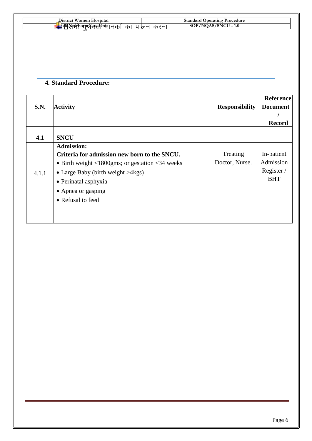| <b>WWF1</b><br>District<br>: Women Hospital | Standard Operating Procedure                             |
|---------------------------------------------|----------------------------------------------------------|
| पाल<br>ch<br>пш.<br>سمبر                    | $\sqrt{2}$<br>'SNCU - 1.0<br>nvu.<br>$. \cup$ nji<br>JUF |
|                                             |                                                          |

#### **4. Standard Procedure:**

| <b>S.N.</b> | <b>Activity</b>                                                                                    | <b>Responsibility</b> | <b>Reference</b><br><b>Document</b> |
|-------------|----------------------------------------------------------------------------------------------------|-----------------------|-------------------------------------|
|             |                                                                                                    |                       | <b>Record</b>                       |
| 4.1         | <b>SNCU</b>                                                                                        |                       |                                     |
|             | <b>Admission:</b>                                                                                  |                       |                                     |
|             | Criteria for admission new born to the SNCU.                                                       | Treating              | In-patient                          |
|             | • Birth weight $\langle 1800 \text{gms} \rangle$ ; or gestation $\langle 34 \text{ weeks} \rangle$ | Doctor, Nurse.        | Admission                           |
| 4.1.1       | • Large Baby (birth weight $>4kgs$ )                                                               |                       | Register /                          |
|             | • Perinatal asphyxia                                                                               |                       | <b>BHT</b>                          |
|             | • Apnea or gasping                                                                                 |                       |                                     |
|             | • Refusal to feed                                                                                  |                       |                                     |
|             |                                                                                                    |                       |                                     |
|             |                                                                                                    |                       |                                     |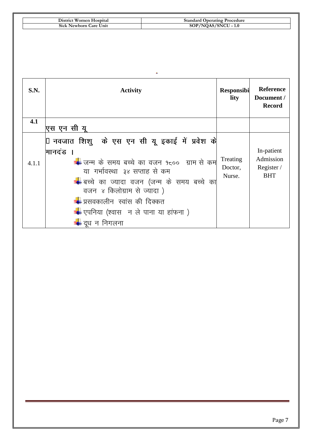| TTT<br>Women<br>Hospital<br>$J$ <sub>18</sub> tric <sup>+</sup> | <b>Operating Procedure</b><br>Standard |
|-----------------------------------------------------------------|----------------------------------------|
| Care<br>Unit<br>SICK<br>: Newborn                               | $\sqrt{2}$<br>1.0<br>NI<br>.<br>$\sim$ |

| S.N.  | <b>Activity</b>                                                                                                                                                                                                                                                                                                                        | <b>Responsibi</b><br>lity     | <b>Reference</b><br>Document /<br><b>Record</b>     |
|-------|----------------------------------------------------------------------------------------------------------------------------------------------------------------------------------------------------------------------------------------------------------------------------------------------------------------------------------------|-------------------------------|-----------------------------------------------------|
| 4.1   | एस एन सी यू                                                                                                                                                                                                                                                                                                                            |                               |                                                     |
| 4.1.1 | $\Box$ नवजात शिशु के एस एन सी यू इकाई में प्रवेश के<br>मानदंड ।<br>प— जन्म के समय बच्चे का वजन १८००) ग्राम से कम<br>या गर्भावस्था ३४ सप्ताह से कम<br><del>ा∎</del> बच्चे का ज्यादा वजन (जन्म के समय बच्चे का<br>वजन ४ किलोग्राम से ज्यादा)<br>∎ प्रसवकालीन स्वांस की दिक्कत<br>→ एपनिया (श्वास) न ले पाना या हांफना)<br>— दूध न निगलना | Treating<br>Doctor,<br>Nurse. | In-patient<br>Admission<br>Register /<br><b>BHT</b> |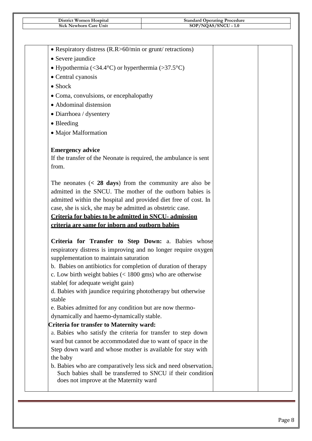| ----                       | stan                                               |
|----------------------------|----------------------------------------------------|
| Women                      | Procedure                                          |
| District                   | $\cdot$ perating $\cdot$                           |
| Hospital                   | .ndar⁄                                             |
| Newborn Care Unit<br>Sick- | $\sim$<br>נו ר<br>$-1.0$<br>'SNCU<br>ovr<br>י טרשי |

- Respiratory distress (R.R>60/min or grunt/ retractions)
- Severe jaundice
- Hypothermia (<34.4°C) or hyperthermia (>37.5°C)
- Central cyanosis
- Shock
- Coma, convulsions, or encephalopathy
- Abdominal distension
- Diarrhoea / dysentery
- Bleeding
- Major Malformation

#### **Emergency advice**

If the transfer of the Neonate is required, the ambulance is sent from.

The neonates (**< 28 days**) from the community are also be admitted in the SNCU. The mother of the outborn babies is admitted within the hospital and provided diet free of cost. In case, she is sick, she may be admitted as obstetric case.

#### **Criteria for babies to be admitted in SNCU- admission criteria are same for inborn and outborn babies**

**Criteria for Transfer to Step Down:** a. Babies whose respiratory distress is improving and no longer require oxygen supplementation to maintain saturation

b. Babies on antibiotics for completion of duration of therapy

c. Low birth weight babies (< 1800 gms) who are otherwise stable( for adequate weight gain)

d. Babies with jaundice requiring phototherapy but otherwise stable

e. Babies admitted for any condition but are now thermo-

dynamically and haemo-dynamically stable.

#### **Criteria for transfer to Maternity ward:**

a. Babies who satisfy the criteria for transfer to step down ward but cannot be accommodated due to want of space in the Step down ward and whose mother is available for stay with the baby

b. Babies who are comparatively less sick and need observation. Such babies shall be transferred to SNCU if their condition does not improve at the Maternity ward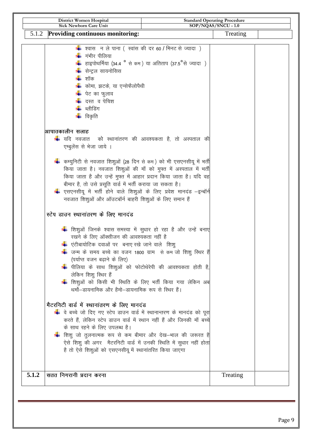| District Women Hospital<br>Sick Newborn Care Unit                                                                                                                                                                                                                                                                                                                                                                                                                                                           |                                             | <b>Standard Operating Procedure</b><br>SOP/NQAS/SNCU - 1.0 |  |
|-------------------------------------------------------------------------------------------------------------------------------------------------------------------------------------------------------------------------------------------------------------------------------------------------------------------------------------------------------------------------------------------------------------------------------------------------------------------------------------------------------------|---------------------------------------------|------------------------------------------------------------|--|
| 5.1.2<br><b>Providing continuous monitoring:</b>                                                                                                                                                                                                                                                                                                                                                                                                                                                            |                                             | Treating                                                   |  |
| → श्वास) न ले पाना () स्वांस की दर 60 / मिनट से ज्यादा)<br>— गभीर पीलिया<br>→ हाइपोथर्मिया (34.4 ° से कम) या अतिताप (37.5°से ज्यादा  )<br>₩ सेन्ट्रल सायनोसिस<br>$\frac{1}{2}$ शॉक<br>➡ कोमा, झटके, या एन्सेफैलोपैथी<br>— पेट का फ़ूलाव<br>₩ दस्त व पेचिश<br>∔ ब्लीडिग<br>— विकृति                                                                                                                                                                                                                          |                                             |                                                            |  |
| आपातकालीन सलाह<br>— यदि नवजात<br>एम्बुलेस से भेजा जाये ।<br>कम्युनिटी से नवजात शिशुओं (28 दिन से कम) को भी एसएनसीयू में भर्ती<br>किया जाता है। नवजात शिशुओं की माँ को मुफ्त में अस्पताल में भर्ती<br>किया जाता है और उन्हें मुफ्त में आहार प्रदान किया जाता है। यदि वह<br>बीमार है, तो उसे प्रसूति वार्ड में भर्ती कराया जा सकता है।<br>एसएनसीयू में भर्ती होने वाले शिशुओं के लिए प्रवेश मानदंड –इन्बॉर्न<br>नवजात शिशुओं और ऑउटबॉर्न बाहरी शिशुओं के लिए समान हैं                                         | को स्थानांतरण की आवश्यकता है, तो अस्पताल की |                                                            |  |
| स्टेप डाउन स्थानांतरण के लिए मानदंड<br>→ शिशूओं जिनके श्वास समस्या में सुधार हो रहा है और उन्हें बनाए<br>रखने के लिए ऑक्सीजन की आवश्यकता नहीं है<br>→ एंटीबायोटिक दवाओं पर बनाए रखे जाने वाले शिशु<br>→ जन्म के समय बच्चे का वजन 1800 ग्राम) से कम जो शिशु स्थिर हैं<br>(पर्याप्त वजन बढ़ाने के लिए)<br>→ पीलिया के साथ शिशुओं को फोटोथेरेपी की आवश्यकता होती है,<br>लेकिन शिशु स्थिर हैं<br>→ शिशुओं को किसी भी स्थिति के लिए भर्ती किया गया लेकिन अब<br>थर्मो–डायनामिक और हैमो–डायनामिक रूप से स्थिर हैं। |                                             |                                                            |  |
| मैटरनिटी वार्ड में स्थानांतरण के लिए मानदंड<br>→ वे बच्चे जो दिए गए स्टेप डाउन वार्ड में स्थानान्तरण के मानदंड को पूरा<br>करते हैं, लेकिन स्टेप डाउन वार्ड में स्थान नहीं हैं और जिनकी माँ बच्चे<br>के साथ रहने के लिए उपलब्ध है।<br>→ शिशु जो तुलनात्मक रूप से कम बीमार और देख—भाल की जरूरत है<br>ऐसे शिशु की अगर मैटरनिटी वार्ड में उनकी स्थिति में सुधार नहीं होता<br>है तो ऐसे शिशुओं को एसएनसीयू में स्थानांतरित किया जाएगा                                                                            |                                             |                                                            |  |
| 5.1.2<br>सतत निगरानी प्रदान करना                                                                                                                                                                                                                                                                                                                                                                                                                                                                            |                                             | Treating                                                   |  |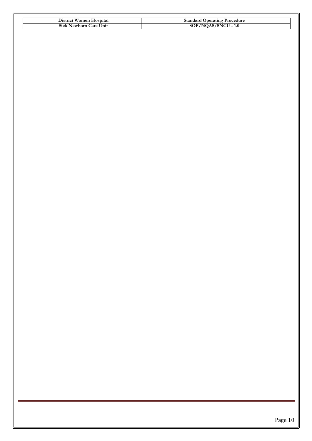| T<br>Women<br>Hospital<br>District                           | Standard<br><b>Operating</b><br>: Procedure                                             |
|--------------------------------------------------------------|-----------------------------------------------------------------------------------------|
| $\sim$ $\sim$<br>∼.<br>51CK<br>: Unit<br><b>Newborn Care</b> | SIN L<br><b>14'</b><br>$\overline{\phantom{0}}$<br>1.U<br>JUF 1<br>7 JI NU U<br>1107137 |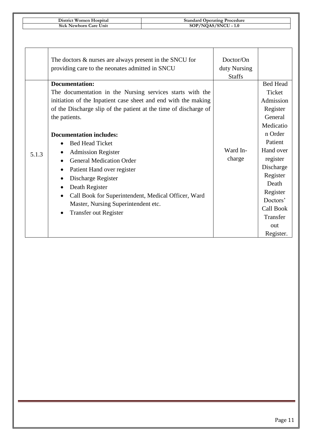| : Women Hospital<br>District ` | <b>Operating Procedure</b><br><b>itandard</b>                  |
|--------------------------------|----------------------------------------------------------------|
| <b>Sick Newborn Care Unit</b>  | <b>JOAS/SNCU</b><br>$\overline{\phantom{0}}$ - 1.0<br>SUP/NUAS |

|       | The doctors & nurses are always present in the SNCU for<br>providing care to the neonates admitted in SNCU                                                                                                                                                                                                                                                                                                       | Doctor/On<br>duty Nursing<br><b>Staffs</b> |                                                                                                                                                    |
|-------|------------------------------------------------------------------------------------------------------------------------------------------------------------------------------------------------------------------------------------------------------------------------------------------------------------------------------------------------------------------------------------------------------------------|--------------------------------------------|----------------------------------------------------------------------------------------------------------------------------------------------------|
| 5.1.3 | <b>Documentation:</b><br>The documentation in the Nursing services starts with the<br>initiation of the Inpatient case sheet and end with the making<br>of the Discharge slip of the patient at the time of discharge of<br>the patients.<br><b>Documentation includes:</b><br><b>Bed Head Ticket</b><br><b>Admission Register</b><br><b>General Medication Order</b><br>Patient Hand over register<br>$\bullet$ | Ward In-<br>charge                         | <b>Bed Head</b><br>Ticket<br>Admission<br>Register<br>General<br>Medicatio<br>n Order<br>Patient<br>Hand over<br>register<br>Discharge<br>Register |
|       | Discharge Register<br>$\bullet$<br>Death Register<br>$\bullet$<br>Call Book for Superintendent, Medical Officer, Ward<br>$\bullet$<br>Master, Nursing Superintendent etc.<br>Transfer out Register<br>$\bullet$                                                                                                                                                                                                  |                                            | Death<br>Register<br>Doctors'<br>Call Book<br>Transfer<br>out<br>Register.                                                                         |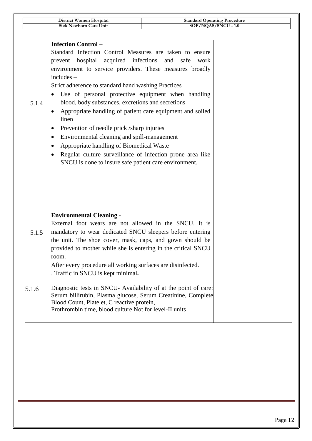| $-1$<br>Hospital<br>Jistrict<br>Women                      | <b>Procedure</b><br><b>J</b> perating<br>standaro               |
|------------------------------------------------------------|-----------------------------------------------------------------|
| $\sim$<br>Unit<br>Care<br>Sick<br>Newborn<br>$\sim$ $\sim$ | $A$ $C$ $I$ $C$ $A$ $T$ $C$ $T$ $T$<br>N<br>SUI<br>1.U<br>, , , |

| 5.1.4 | <b>Infection Control-</b><br>Standard Infection Control Measures are taken to ensure<br>hospital acquired infections and safe<br>prevent<br>work<br>environment to service providers. These measures broadly<br>$includes -$<br>Strict adherence to standard hand washing Practices<br>Use of personal protective equipment when handling<br>blood, body substances, excretions and secretions<br>Appropriate handling of patient care equipment and soiled<br>$\bullet$<br>linen<br>Prevention of needle prick /sharp injuries<br>٠<br>Environmental cleaning and spill-management<br>$\bullet$<br>Appropriate handling of Biomedical Waste<br>$\bullet$<br>Regular culture surveillance of infection prone area like<br>SNCU is done to insure safe patient care environment. |  |
|-------|---------------------------------------------------------------------------------------------------------------------------------------------------------------------------------------------------------------------------------------------------------------------------------------------------------------------------------------------------------------------------------------------------------------------------------------------------------------------------------------------------------------------------------------------------------------------------------------------------------------------------------------------------------------------------------------------------------------------------------------------------------------------------------|--|
| 5.1.5 | <b>Environmental Cleaning -</b><br>External foot wears are not allowed in the SNCU. It is<br>mandatory to wear dedicated SNCU sleepers before entering<br>the unit. The shoe cover, mask, caps, and gown should be<br>provided to mother while she is entering in the critical SNCU<br>room.<br>After every procedure all working surfaces are disinfected.<br>. Traffic in SNCU is kept minimal.                                                                                                                                                                                                                                                                                                                                                                               |  |
| 5.1.6 | Diagnostic tests in SNCU- Availability of at the point of care:<br>Serum billirubin, Plasma glucose, Serum Creatinine, Complete<br>Blood Count, Platelet, C reactive protein,<br>Prothrombin time, blood culture Not for level-II units                                                                                                                                                                                                                                                                                                                                                                                                                                                                                                                                         |  |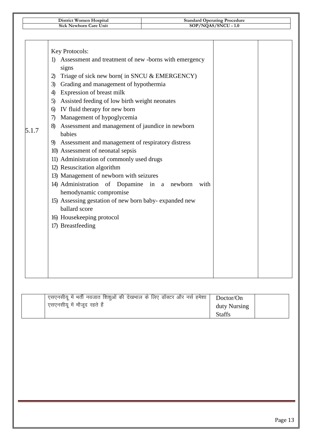| TTT                                    | Standard             |
|----------------------------------------|----------------------|
| Women Hospital                         | Operating            |
| District                               | <b>Procedure</b>     |
| n.<br>.are<br>81C.K<br>Unit<br>Newborn | <b>1.0</b><br>$\sim$ |

|       | Key Protocols:                                                                        |      |  |
|-------|---------------------------------------------------------------------------------------|------|--|
|       | Assessment and treatment of new -borns with emergency<br>$\left( \frac{1}{2} \right)$ |      |  |
|       | signs                                                                                 |      |  |
|       | Triage of sick new born( in SNCU & EMERGENCY)<br>$\mathfrak{D}$                       |      |  |
|       | Grading and management of hypothermia<br>3)                                           |      |  |
|       | Expression of breast milk<br>$\left( \frac{4}{2} \right)$                             |      |  |
|       | Assisted feeding of low birth weight neonates<br>5)                                   |      |  |
|       | IV fluid therapy for new born<br>6)                                                   |      |  |
|       | Management of hypoglycemia<br>$\mathcal{D}$                                           |      |  |
| 5.1.7 | Assessment and management of jaundice in newborn<br>8)                                |      |  |
|       | babies                                                                                |      |  |
|       | Assessment and management of respiratory distress<br>9                                |      |  |
|       | 10) Assessment of neonatal sepsis                                                     |      |  |
|       | 11) Administration of commonly used drugs                                             |      |  |
|       | 12) Resuscitation algorithm                                                           |      |  |
|       | 13) Management of newborn with seizures                                               |      |  |
|       | 14) Administration of Dopamine in a newborn                                           | with |  |
|       | hemodynamic compromise                                                                |      |  |
|       | 15) Assessing gestation of new born baby-expanded new                                 |      |  |
|       | ballard score                                                                         |      |  |
|       | 16) Housekeeping protocol                                                             |      |  |
|       | 17) Breastfeeding                                                                     |      |  |
|       |                                                                                       |      |  |
|       |                                                                                       |      |  |
|       |                                                                                       |      |  |
|       |                                                                                       |      |  |
|       |                                                                                       |      |  |
|       |                                                                                       |      |  |

| एसएनसीयू में भर्ती नवजात शिशुओं की देखभाल के लिए डॉक्टर और नर्स हमेशा | Doctor/On     |
|-----------------------------------------------------------------------|---------------|
| एसएनसीयू में मौजूद रहते हैं                                           | duty Nursing  |
|                                                                       | <b>Staffs</b> |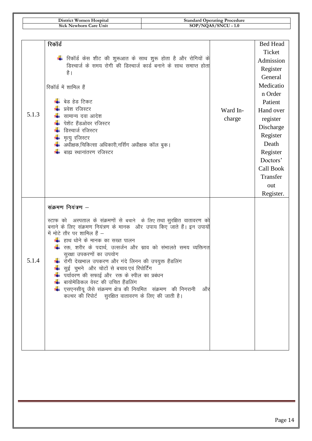| ---<br>.10 <sup>2</sup><br>'ospital<br>. Jistric:          | Procedure<br>. Ineratıno<br>.sta<br>10.4<br>нняг |
|------------------------------------------------------------|--------------------------------------------------|
| <u>.</u><br>. .are<br>Unit<br>51CK.<br>Newborr -<br>______ | 1.0                                              |

|       | रिकॉर्ड                                                                                                                                                                                                                                                                                                                                                                                                                                                                                                                                                                                                                                                                    |                    | <b>Bed Head</b>                                                                                                                                                                                               |
|-------|----------------------------------------------------------------------------------------------------------------------------------------------------------------------------------------------------------------------------------------------------------------------------------------------------------------------------------------------------------------------------------------------------------------------------------------------------------------------------------------------------------------------------------------------------------------------------------------------------------------------------------------------------------------------------|--------------------|---------------------------------------------------------------------------------------------------------------------------------------------------------------------------------------------------------------|
| 5.1.3 | → रिकॉर्ड केस शीट की शुरूआत के साथ शुरू होता है और रोगियों के<br>डिस्चार्ज के समय रोगी की डिस्चार्ज कार्ड बनाने के साथ समाप्त होता<br>है ।<br>रिकॉर्ड में शामिल हैं<br>— बेड हेड टिकट<br>₩ प्रवेश रजिस्टर<br>सामान्य दवा आदेश<br>पेशेंट हैंडओवर रजिस्टर<br>डिस्चार्ज रजिस्टर<br>+ मृत्यु रजिस्टर<br>→ अधीक्षक,चिकित्सा अधिकारी,नर्सिंग अधीक्षक कॉल बुक।<br>— बाह्य स्थानांतरण रजिस्टर                                                                                                                                                                                                                                                                                      | Ward In-<br>charge | Ticket<br>Admission<br>Register<br>General<br>Medicatio<br>n Order<br>Patient<br>Hand over<br>register<br>Discharge<br>Register<br>Death<br>Register<br>Doctors'<br>Call Book<br>Transfer<br>out<br>Register. |
| 5.1.4 | संक्रमण नियंत्रण $-$<br>स्टाफ को अस्पताल के संक्रमणों से बचाने) के लिए तथा सुरक्षित वातावरण को<br>बनाने के लिए संक्रमण नियंत्रण के मानक और उपाय किए जाते हैं। इन उपायों<br>में मोटे तौर पर शामिल हैं $-$<br>→ हाथ धोने के मानक का सख्त पालन<br>→ रक्त, शरीर के पदार्थ, उत्सर्जन और स्राव को संभालते समय व्यक्तिगत<br>सुरक्षा उपकरणों का उपयोग<br>→ रोगी देखभाल उपकरण और गंदे लिनन की उपयुक्त हैंडलिंग<br>→ सूई चुभने और चोटों से बचाव एवं रिपोर्टिंग<br>पर्यावरण की सफाई और  रक्त के स्पील का प्रबंधन<br>बायोमेडिकल वेस्ट की उचित हैंडलिंग<br>ं एसएनसीयू जैसे संक्रमण क्षेत्र की नियमित  संक्रमण  की निगरानी<br>और<br>कल्चर की रिपोर्ट सुरक्षित वातावरण के लिए की जाती है। |                    |                                                                                                                                                                                                               |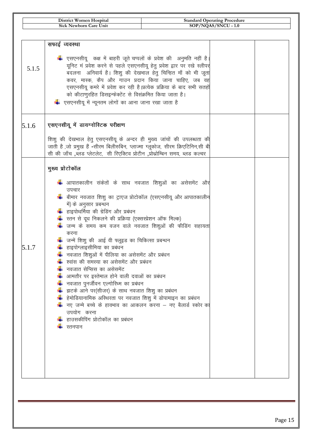| <b>TTF</b>                                                | Standard      |
|-----------------------------------------------------------|---------------|
| `Women Hospital                                           | : Procedure   |
| District                                                  | Operating '   |
| 51CK.<br>$_{\rm{Unit}}$<br>Newborn U<br>$\mathcal{L}$ are | 1.0<br>$\sim$ |

|       | सफाई व्यवस्था                                                                                                                                                                                                                                                                                                                                                                                                                                                                                                                                                                                                                                                                                                                                                                                                                                                                                    |  |
|-------|--------------------------------------------------------------------------------------------------------------------------------------------------------------------------------------------------------------------------------------------------------------------------------------------------------------------------------------------------------------------------------------------------------------------------------------------------------------------------------------------------------------------------------------------------------------------------------------------------------------------------------------------------------------------------------------------------------------------------------------------------------------------------------------------------------------------------------------------------------------------------------------------------|--|
| 5.1.5 | → एसएनसीयू कक्ष में बाहरी जूते चप्पलों के प्रवेश की अनुमति नहीं है।<br>यूनिट मं प्रवेश करने से पहले एसएनसीयू हेतु प्रवेश द्वार पर रखे स्लीपर<br>बदलना अनिवार्य है। शिशु की देखभाल हेतु चिन्हित माँ को भी जूता<br>कवर, मास्क, कैप और गाउन प्रदान किया जाना चाहिए, जब वह<br>एसएनसीयू कमरे में प्रवेश कर रही है।प्रत्येक प्रक्रिया के बाद सभी सतहों<br>को कीटाणुरहित डिसइन्फेक्टेंट से विसंक्रमित किया जाता है।<br>→ एसएनसीयू में न्यूनतम लोगों का आना जाना रखा जाता है                                                                                                                                                                                                                                                                                                                                                                                                                             |  |
| 5.1.6 | एसएनसीयू में डायग्नोस्टिक परीक्षण                                                                                                                                                                                                                                                                                                                                                                                                                                                                                                                                                                                                                                                                                                                                                                                                                                                                |  |
|       | शिशु की देखभाल हेतु एसएनसीयू के अन्दर ही मुख्य जांचों की उपलब्धता की<br>जाती है, जो प्रमुख हैं -सीरम बिलीरुबिन, प्लाज्मा ग्लूकोज, सीरम क्रिएटिनिन,सी बी<br>सी की जाँच ,ब्लड प्लेटलेट, सी रिएक्टिव प्रोटीन ,प्रोथ्रोम्बिन समय, ब्लड कल्चर                                                                                                                                                                                                                                                                                                                                                                                                                                                                                                                                                                                                                                                         |  |
|       | मुख्य प्रोटोकॉल                                                                                                                                                                                                                                                                                                                                                                                                                                                                                                                                                                                                                                                                                                                                                                                                                                                                                  |  |
| 5.1.7 | → आपातकालीन संकेतों के साथ नवजात शिशुओं का असेसमेंट और<br>उपचार<br>→ बीमार नवजात शिशु का ट्राएज प्रोटोकॉल (एसएनसीयू और आपातकालीन<br>में) के अनुसार प्रबन्धन<br>→ हाइपोथर्मिया की ग्रेडिंग और प्रबंधन<br>→ स्तन से दूध निकलने की प्रक्रिया (एक्सस्प्रेशन ऑफ मिल्क)<br>→ जन्म के समय कम वजन वाले नवजात शिशुओं की फीडिंग सहायता<br>करना<br>→ जन्में शिशु की आई वी फ्लूइड का चिकित्सा प्रबन्धन<br>→ हाइपोग्लाइसीमिया का प्रबंधन<br>नवजात शिशुओं में पीलिया का असेसमेंट और प्रबंधन<br>श्वास की समस्या का असेसमेंट और प्रबंधन<br>♣ नवजात सेप्सिस का असेसमेंट<br>— आमतौर पर इस्तेमाल होने वाली दवाओं का प्रबंधन<br>नवजात पुनर्जीवन एल्गोरिथ्म का प्रबंधन<br>झटके आने पर(सीजर) के साथ नवजात शिशु का प्रबंधन<br>हेमोडियानामिक अस्थिरता पर नवजात शिशु में डोपामाइन का प्रबंधन<br>नए जन्मे बच्चे के हावभाव का आकलन करना – नए बैलार्ड स्कोर का<br>उपयोग करना<br>♣ हाउसकीपिंग प्रोटोकॉल का प्रबंधन<br>स्तनपान |  |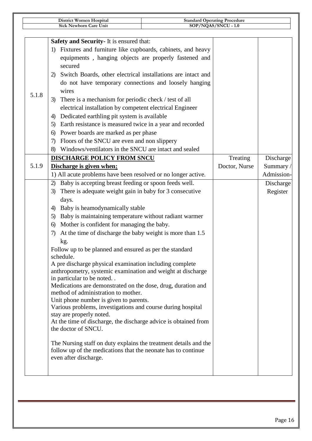|       | District Women Hospital<br><b>Standard Operating Procedure</b>                              |                     |               |            |
|-------|---------------------------------------------------------------------------------------------|---------------------|---------------|------------|
|       | <b>Sick Newborn Care Unit</b>                                                               | SOP/NQAS/SNCU - 1.0 |               |            |
|       |                                                                                             |                     |               |            |
|       | <b>Safety and Security-</b> It is ensured that:                                             |                     |               |            |
|       | Fixtures and furniture like cupboards, cabinets, and heavy<br>$\left( \frac{1}{2} \right)$  |                     |               |            |
|       | equipments, hanging objects are properly fastened and                                       |                     |               |            |
|       |                                                                                             |                     |               |            |
|       | secured                                                                                     |                     |               |            |
|       | Switch Boards, other electrical installations are intact and<br>2)                          |                     |               |            |
|       | do not have temporary connections and loosely hanging                                       |                     |               |            |
| 5.1.8 | wires                                                                                       |                     |               |            |
|       | There is a mechanism for periodic check / test of all<br>3)                                 |                     |               |            |
|       | electrical installation by competent electrical Engineer                                    |                     |               |            |
|       | Dedicated earthling pit system is available<br>4)                                           |                     |               |            |
|       | Earth resistance is measured twice in a year and recorded<br>5)                             |                     |               |            |
|       | Power boards are marked as per phase<br>6)                                                  |                     |               |            |
|       | Floors of the SNCU are even and non slippery<br>7)                                          |                     |               |            |
|       | Windows/ventilators in the SNCU are intact and sealed<br>8                                  |                     |               |            |
|       | <b>DISCHARGE POLICY FROM SNCU</b>                                                           |                     | Treating      | Discharge  |
| 5.1.9 | Discharge is given when:                                                                    |                     | Doctor, Nurse | Summary/   |
|       | 1) All acute problems have been resolved or no longer active.                               |                     |               | Admission- |
|       | Baby is accepting breast feeding or spoon feeds well.<br>$\mathbf{2}$                       |                     |               | Discharge  |
|       | There is adequate weight gain in baby for 3 consecutive<br>3)                               |                     |               | Register   |
|       | days.                                                                                       |                     |               |            |
|       | Baby is heamodynamically stable<br>4)                                                       |                     |               |            |
|       | Baby is maintaining temperature without radiant warmer<br>5)                                |                     |               |            |
|       | Mother is confident for managing the baby.<br>6)                                            |                     |               |            |
|       | At the time of discharge the baby weight is more than 1.5<br>$\mathcal{D}$                  |                     |               |            |
|       | kg.                                                                                         |                     |               |            |
|       | Follow up to be planned and ensured as per the standard                                     |                     |               |            |
|       | schedule.                                                                                   |                     |               |            |
|       | A pre discharge physical examination including complete                                     |                     |               |            |
|       | anthropometry, systemic examination and weight at discharge                                 |                     |               |            |
|       | in particular to be noted                                                                   |                     |               |            |
|       | Medications are demonstrated on the dose, drug, duration and                                |                     |               |            |
|       | method of administration to mother.                                                         |                     |               |            |
|       | Unit phone number is given to parents.                                                      |                     |               |            |
|       | Various problems, investigations and course during hospital                                 |                     |               |            |
|       | stay are properly noted.<br>At the time of discharge, the discharge advice is obtained from |                     |               |            |
|       | the doctor of SNCU.                                                                         |                     |               |            |
|       |                                                                                             |                     |               |            |
|       | The Nursing staff on duty explains the treatment details and the                            |                     |               |            |
|       | follow up of the medications that the neonate has to continue                               |                     |               |            |
|       | even after discharge.                                                                       |                     |               |            |
|       |                                                                                             |                     |               |            |
|       |                                                                                             |                     |               |            |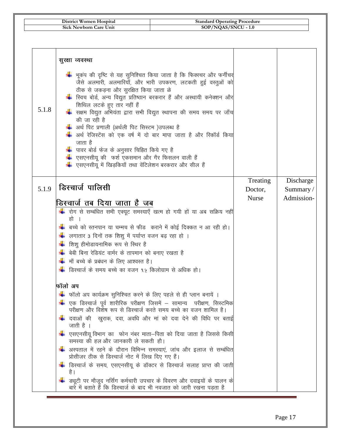| ----                               | Standard          |
|------------------------------------|-------------------|
| <b>⊌omen Hospital</b>              | <b>Procedure</b>  |
| District                           | <b>O</b> nerating |
| . .are<br>Unit<br>Sick.<br>Newborn | 1.0<br>NI         |

| 5.1.8 | सुरक्षा व्यवस्था<br>→ भूकंप की दृष्टि से यह सुनिश्चित किया जाता है कि फिक्स्चर और फर्नीचर<br>जैसे अलमारी, अलमारियाँ, और भारी उपकरण, लटकती हुई वस्तुओं को<br>ठीक से जकड़ना और सुरक्षित किया जाता ळे<br>→ स्विच बोर्ड, अन्य विद्युत प्रतिष्ठान बरकरार हैं और अस्थायी कनेक्शन और<br>शिथिल लटके हुए तार नहीं हैं<br>→ सक्षम विद्युत अभियंता द्वारा सभी विद्युत स्थापना की समय समय पर जाँच<br>की जा रही है<br>→ अर्थ पिट प्रणाली (अर्थली पिट सिस्टम)उपलब्ध है<br>→ अर्थ रेजिस्टेंस को एक वर्ष में दो बार मापा जाता है और रिकॉर्ड किया<br>जाता है<br>→ पावर बोर्ड फेज के अनुसार चिह्नित किये गए है<br>→ एसएनसीयू की फर्श एकसमान और गैर फिसलन वाली हैं<br>→ एसएनसीयू में खिड़कियाँ तथा वेंटिलेशन बरकरार और सील हैं                                                                                                                                                                                                                                                                                                                                                                                                                                                                                                                                                                          |                                     |                                     |
|-------|--------------------------------------------------------------------------------------------------------------------------------------------------------------------------------------------------------------------------------------------------------------------------------------------------------------------------------------------------------------------------------------------------------------------------------------------------------------------------------------------------------------------------------------------------------------------------------------------------------------------------------------------------------------------------------------------------------------------------------------------------------------------------------------------------------------------------------------------------------------------------------------------------------------------------------------------------------------------------------------------------------------------------------------------------------------------------------------------------------------------------------------------------------------------------------------------------------------------------------------------------------------------------------------|-------------------------------------|-------------------------------------|
| 5.1.9 | डिस्चार्ज पालिसी<br>डिस्चार्ज तब दिया जाता है जब<br>→ रोग से सम्बंधित सभी एक्यूट समस्याएँ खत्म हो गयी हों या अब सक्रिय नहीं <br>हो<br>→ बच्चे को स्तनपान या चम्मच से फीड) कराने में कोई दिक्कत न आ रही हो।<br>→ लगातार 3 दिनों तक शिशु में पर्याप्त वजन बढ़ रहा हो ।<br>→ शिशु हीमोडायनामिक रूप से स्थिर है<br>→ बेबी बिना रेडियंट वार्मर के तापमान को बनाए रखता है<br>→ माँ बच्चे के प्रबंधन के लिए आश्वस्त है।<br>→ डिस्चार्ज के समय बच्चे का वजन १.५ किलोग्राम से अधिक हो।<br>फॉलो अप<br>— फॉलो अप कार्यक्रम सुनिश्चित करने के लिए पहले से ही प्लान बनायें ।<br>ैं एक डिस्चार्ज पूर्व शारीरिक परीक्षण जिसमें — सामान्य  परीक्षण, सिस्टमिक<br>परीक्षण और विशेष रूप से डिस्चार्ज करते समय बच्चे का वजन शामिल है।<br>→ दवाओं की खुराक, दवा, अवधि और मां को दवा देने की विधि पर बताई <br>जाती है ।<br>→ एसएनसीयू विभाग का फोन नंबर माता—पिता को दिया जाता है जिससे किसी<br>समस्या की हल और जानकारी ले सकती हो।<br>→ अस्पताल में रहने के दौरान विभिन्न समस्याएं, जांच और इलाज से सम्बंधित<br>प्रोसीजर ठीक से डिस्चार्ज नोट में लिख दिए गए हैं।<br>→ डिस्चार्ज के समय, एसएनसीयू के डॉक्टर से डिस्चार्ज सलाह प्राप्त की जाती<br>है ।<br>→ ड्यूटी पर मौजूद नर्सिंग कर्मचारी उपचार के विवरण और दवाइयों के पालन के<br>बारे में बताते हैं कि डिस्चार्ज के बाद भी नवजात को जारी रखना पड़ता है | Treating<br>Doctor,<br><b>Nurse</b> | Discharge<br>Summary/<br>Admission- |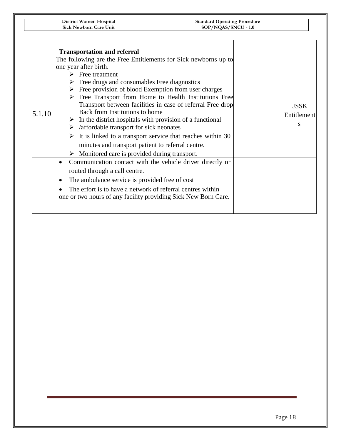| ---<br>Jistrict<br>-w∩mer<br>Hospita. | Standard<br>Procedure<br><b>J</b> perating |
|---------------------------------------|--------------------------------------------|
| .are<br>Sick<br>Unit<br>Newborn       | 1.0<br><br>$\sim$ $\sim$                   |

| 5.1.10 | <b>Transportation and referral</b><br>The following are the Free Entitlements for Sick newborns up to<br>one year after birth.<br>Free treatment<br>$\triangleright$ Free drugs and consumables Free diagnostics<br>$\triangleright$ Free provision of blood Exemption from user charges<br>$\triangleright$ Free Transport from Home to Health Institutions Free<br>Transport between facilities in case of referral Free drop<br>Back from Institutions to home<br>$\triangleright$ In the district hospitals with provision of a functional<br>$\triangleright$ /affordable transport for sick neonates<br>$\triangleright$ It is linked to a transport service that reaches within 30<br>minutes and transport patient to referral centre.<br>$\triangleright$ Monitored care is provided during transport. |  | <b>JSSK</b><br>Entitlement<br>S |
|--------|-----------------------------------------------------------------------------------------------------------------------------------------------------------------------------------------------------------------------------------------------------------------------------------------------------------------------------------------------------------------------------------------------------------------------------------------------------------------------------------------------------------------------------------------------------------------------------------------------------------------------------------------------------------------------------------------------------------------------------------------------------------------------------------------------------------------|--|---------------------------------|
|        | Communication contact with the vehicle driver directly or<br>$\bullet$<br>routed through a call centre.<br>The ambulance service is provided free of cost<br>The effort is to have a network of referral centres within<br>one or two hours of any facility providing Sick New Born Care.                                                                                                                                                                                                                                                                                                                                                                                                                                                                                                                       |  |                                 |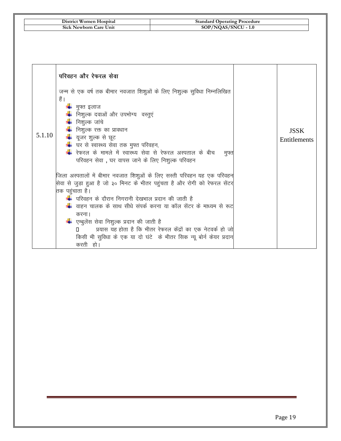| ----<br>`Women Hospital<br>District | Operating Procedure<br>Standaru |
|-------------------------------------|---------------------------------|
| Unit<br>Care<br>51CK<br>Newborn     | $\sim$<br>и.<br>1.U             |

|        | परिवहन और रेफरल सेवा                                                                                                                                                                                                                                                                                                                                                                                                                                                                                        |                             |
|--------|-------------------------------------------------------------------------------------------------------------------------------------------------------------------------------------------------------------------------------------------------------------------------------------------------------------------------------------------------------------------------------------------------------------------------------------------------------------------------------------------------------------|-----------------------------|
| 5.1.10 | जन्म से एक वर्ष तक बीमार नवजात शिशुओं के लिए निशुल्क सुविधा निम्नलिखित<br>हैं।<br>+ मुफ्त इलाज<br>▲ निशुल्क दवाओं और उपभोग्य वस्तुएं<br>— निशुल्क जांचे<br>→ निशुल्क रक्त का प्रावधान<br>ए यूजर शुल्क से छूट<br>→ घर से स्वास्थ्य सेवा तक मुफ्त परिवहन,<br>→ रेफरल के मामले में स्वास्थ्य सेवा से रेफरल अस्पताल के बीच<br>मुफ्त<br>परिवहन सेवा , घर वापस जाने के लिए निशुल्क परिवहन                                                                                                                         | <b>JSSK</b><br>Entitlements |
|        | जिला अस्पतालों में बीमार नवजात शिशुओं के लिए सस्ती परिवहन यह एक परिवहन<br>सेवा से जुड़ा हुआ है जो ३० मिनट के भीतर पहुंचता है और रोगी को रेफरल सेंटर<br>तक पहुंचाता है।<br>→ परिवहन के दौरान निगरानी देखभाल प्रदान की जाती है<br>सी बाहन चालक के साथ सीधे संपर्क करना या कॉल सेंटर के माध्यम से रूट<br>करना।<br>→ एम्बुलेंस सेवा निशुल्क प्रदान की जाती है<br>प्रयास यह होता है कि भीतर रेफरल केंद्रों का एक नेटवर्क हो जो<br>किसी भी सुविधा के एक या दो घंटे के भीतर सिक न्यू बोर्न केयर प्रदान<br>करती हो। |                             |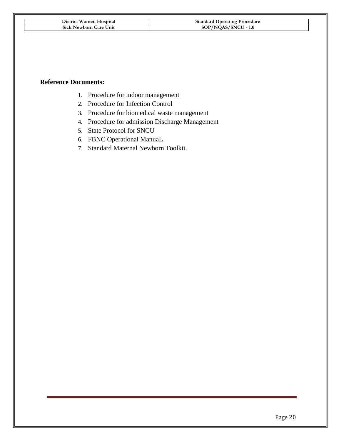| ----<br>Women<br>District<br>Hospital | Operating<br>Standard<br><b>Procedure</b> |
|---------------------------------------|-------------------------------------------|
| Sick Newborn Care Unit                | λÞ<br>$\mathbf{r}$<br>1.0<br>JUL          |

#### **Reference Documents:**

- 1. Procedure for indoor management
- 2. Procedure for Infection Control
- 3. Procedure for biomedical waste management
- 4. Procedure for admission Discharge Management
- 5. State Protocol for SNCU
- 6. FBNC Operational ManuaL
- 7. Standard Maternal Newborn Toolkit.